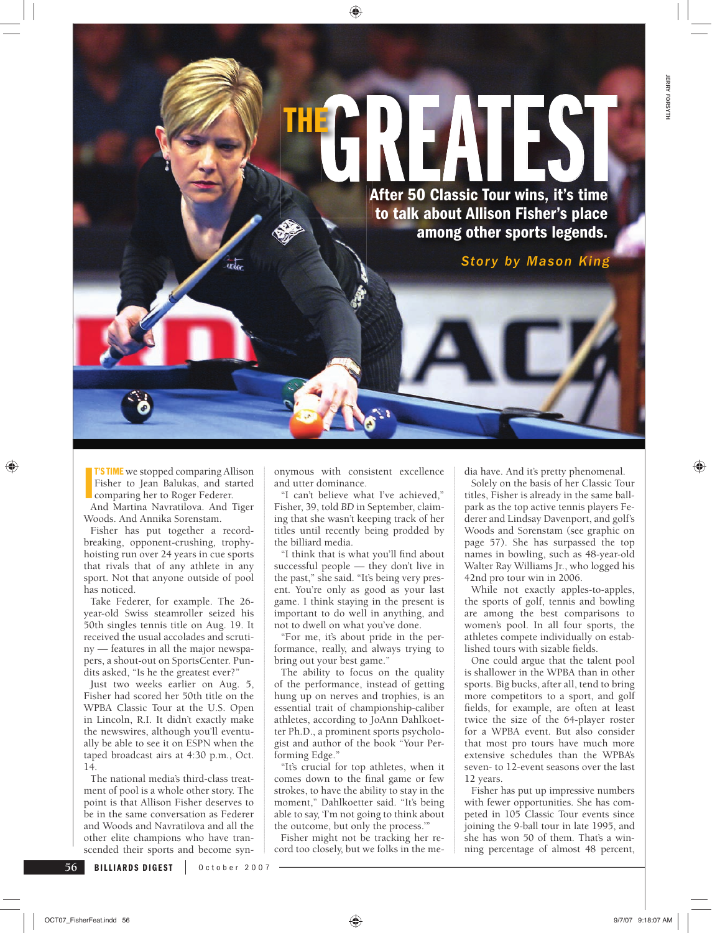# **After 50 Classic Tour wins, it's time A GREATEST THE**

**to talk about Allison Fisher's place among other sports legends.**

*Story by Mason King*

**I T'S TIME** we stopped comparing Allison Fisher to Jean Balukas, and started comparing her to Roger Federer.

*FEATURE DESCRIPTOR*

And Martina Navratilova. And Tiger Woods. And Annika Sorenstam.

Fisher has put together a recordbreaking, opponent-crushing, trophyhoisting run over 24 years in cue sports that rivals that of any athlete in any sport. Not that anyone outside of pool has noticed.

Take Federer, for example. The 26 year-old Swiss steamroller seized his 50th singles tennis title on Aug. 19. It received the usual accolades and scrutiny — features in all the major newspapers, a shout-out on SportsCenter. Pundits asked, "Is he the greatest ever?"

Just two weeks earlier on Aug. 5, Fisher had scored her 50th title on the WPBA Classic Tour at the U.S. Open in Lincoln, R.I. It didn't exactly make the newswires, although you'll eventually be able to see it on ESPN when the taped broadcast airs at 4:30 p.m., Oct. 14.

The national media's third-class treatment of pool is a whole other story. The point is that Allison Fisher deserves to be in the same conversation as Federer and Woods and Navratilova and all the other elite champions who have transcended their sports and become syn-

**56**

onymous with consistent excellence and utter dominance.

"I can't believe what I've achieved," Fisher, 39, told *BD* in September, claiming that she wasn't keeping track of her titles until recently being prodded by the billiard media.

"I think that is what you'll find about successful people — they don't live in the past," she said. "It's being very present. You're only as good as your last game. I think staying in the present is important to do well in anything, and not to dwell on what you've done.

"For me, it's about pride in the performance, really, and always trying to bring out your best game."

The ability to focus on the quality of the performance, instead of getting hung up on nerves and trophies, is an essential trait of championship-caliber athletes, according to JoAnn Dahlkoetter Ph.D., a prominent sports psychologist and author of the book "Your Performing Edge."

"It's crucial for top athletes, when it comes down to the final game or few strokes, to have the ability to stay in the moment," Dahlkoetter said. "It's being able to say, 'I'm not going to think about the outcome, but only the process.'"

Fisher might not be tracking her record too closely, but we folks in the media have. And it's pretty phenomenal.

Solely on the basis of her Classic Tour titles, Fisher is already in the same ballpark as the top active tennis players Federer and Lindsay Davenport, and golf's Woods and Sorenstam (see graphic on page 57). She has surpassed the top names in bowling, such as 48-year-old Walter Ray Williams Jr., who logged his 42nd pro tour win in 2006.

While not exactly apples-to-apples, the sports of golf, tennis and bowling are among the best comparisons to women's pool. In all four sports, the athletes compete individually on established tours with sizable fields.

One could argue that the talent pool is shallower in the WPBA than in other sports. Big bucks, after all, tend to bring more competitors to a sport, and golf fields, for example, are often at least twice the size of the 64-player roster for a WPBA event. But also consider that most pro tours have much more extensive schedules than the WPBA's seven- to 12-event seasons over the last 12 years.

Fisher has put up impressive numbers with fewer opportunities. She has competed in 105 Classic Tour events since joining the 9-ball tour in late 1995, and she has won 50 of them. That's a winning percentage of almost 48 percent,